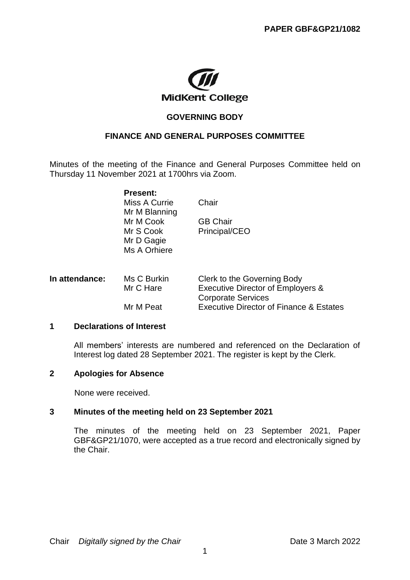

## **GOVERNING BODY**

# **FINANCE AND GENERAL PURPOSES COMMITTEE**

Minutes of the meeting of the Finance and General Purposes Committee held on Thursday 11 November 2021 at 1700hrs via Zoom.

|                | <b>Present:</b> |                                              |
|----------------|-----------------|----------------------------------------------|
|                | Miss A Currie   | Chair                                        |
|                | Mr M Blanning   |                                              |
|                | Mr M Cook       | <b>GB Chair</b>                              |
|                | Mr S Cook       | Principal/CEO                                |
|                | Mr D Gagie      |                                              |
|                | Ms A Orhiere    |                                              |
|                |                 |                                              |
| In attendance: | Ms C Burkin     | Clerk to the Governing Body                  |
|                | Mr C Hare       | <b>Executive Director of Employers &amp;</b> |
|                |                 | <b>Corporate Services</b>                    |

# Mr M Peat Fxecutive Director of Finance & Estates

### **1 Declarations of Interest**

All members' interests are numbered and referenced on the Declaration of Interest log dated 28 September 2021. The register is kept by the Clerk.

#### **2 Apologies for Absence**

None were received.

#### **3 Minutes of the meeting held on 23 September 2021**

The minutes of the meeting held on 23 September 2021, Paper GBF&GP21/1070, were accepted as a true record and electronically signed by the Chair.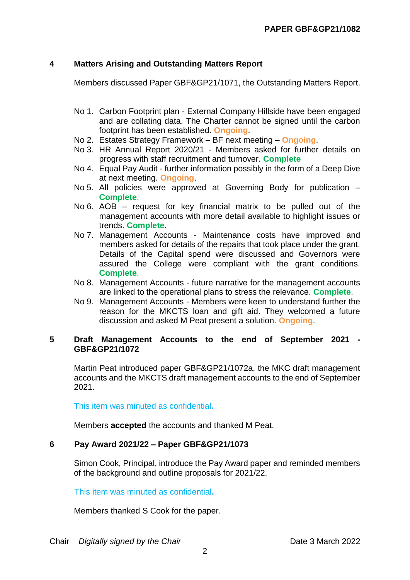## **4 Matters Arising and Outstanding Matters Report**

Members discussed Paper GBF&GP21/1071, the Outstanding Matters Report.

- No 1. Carbon Footprint plan External Company Hillside have been engaged and are collating data. The Charter cannot be signed until the carbon footprint has been established. **Ongoing**.
- No 2. Estates Strategy Framework BF next meeting **Ongoing**.
- No 3. HR Annual Report 2020/21 Members asked for further details on progress with staff recruitment and turnover. **Complete**
- No 4. Equal Pay Audit further information possibly in the form of a Deep Dive at next meeting. **Ongoing**.
- No 5. All policies were approved at Governing Body for publication **Complete**.
- No 6. AOB request for key financial matrix to be pulled out of the management accounts with more detail available to highlight issues or trends. **Complete**.
- No 7. Management Accounts Maintenance costs have improved and members asked for details of the repairs that took place under the grant. Details of the Capital spend were discussed and Governors were assured the College were compliant with the grant conditions. **Complete**.
- No 8. Management Accounts future narrative for the management accounts are linked to the operational plans to stress the relevance. **Complete**.
- No 9. Management Accounts Members were keen to understand further the reason for the MKCTS loan and gift aid. They welcomed a future discussion and asked M Peat present a solution. **Ongoing**.

## **5 Draft Management Accounts to the end of September 2021 - GBF&GP21/1072**

Martin Peat introduced paper GBF&GP21/1072a, the MKC draft management accounts and the MKCTS draft management accounts to the end of September 2021.

This item was minuted as confidential**.**

Members **accepted** the accounts and thanked M Peat.

## **6 Pay Award 2021/22 – Paper GBF&GP21/1073**

Simon Cook, Principal, introduce the Pay Award paper and reminded members of the background and outline proposals for 2021/22.

This item was minuted as confidential**.**

Members thanked S Cook for the paper.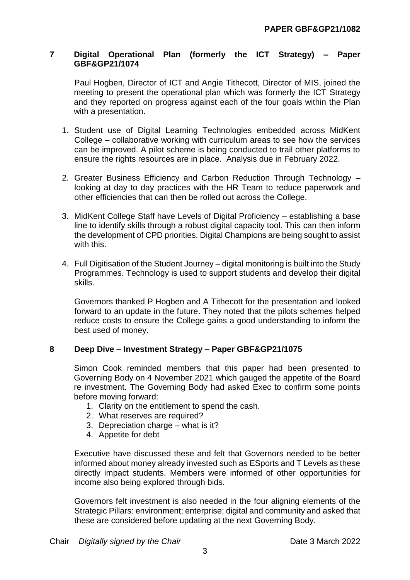## **7 Digital Operational Plan (formerly the ICT Strategy) – Paper GBF&GP21/1074**

Paul Hogben, Director of ICT and Angie Tithecott, Director of MIS, joined the meeting to present the operational plan which was formerly the ICT Strategy and they reported on progress against each of the four goals within the Plan with a presentation.

- 1. Student use of Digital Learning Technologies embedded across MidKent College – collaborative working with curriculum areas to see how the services can be improved. A pilot scheme is being conducted to trail other platforms to ensure the rights resources are in place. Analysis due in February 2022.
- 2. Greater Business Efficiency and Carbon Reduction Through Technology looking at day to day practices with the HR Team to reduce paperwork and other efficiencies that can then be rolled out across the College.
- 3. MidKent College Staff have Levels of Digital Proficiency establishing a base line to identify skills through a robust digital capacity tool. This can then inform the development of CPD priorities. Digital Champions are being sought to assist with this.
- 4. Full Digitisation of the Student Journey digital monitoring is built into the Study Programmes. Technology is used to support students and develop their digital skills.

Governors thanked P Hogben and A Tithecott for the presentation and looked forward to an update in the future. They noted that the pilots schemes helped reduce costs to ensure the College gains a good understanding to inform the best used of money.

## **8 Deep Dive – Investment Strategy – Paper GBF&GP21/1075**

Simon Cook reminded members that this paper had been presented to Governing Body on 4 November 2021 which gauged the appetite of the Board re investment. The Governing Body had asked Exec to confirm some points before moving forward:

- 1. Clarity on the entitlement to spend the cash.
- 2. What reserves are required?
- 3. Depreciation charge what is it?
- 4. Appetite for debt

Executive have discussed these and felt that Governors needed to be better informed about money already invested such as ESports and T Levels as these directly impact students. Members were informed of other opportunities for income also being explored through bids.

Governors felt investment is also needed in the four aligning elements of the Strategic Pillars: environment; enterprise; digital and community and asked that these are considered before updating at the next Governing Body.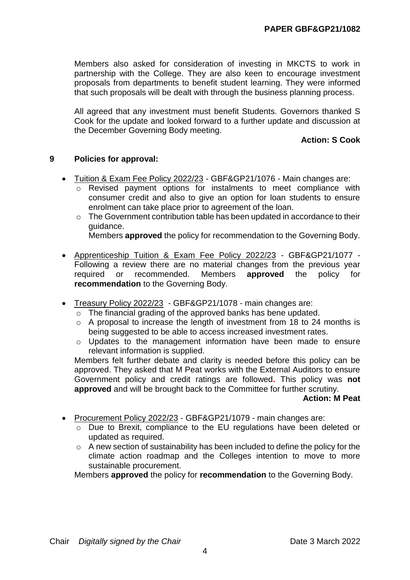Members also asked for consideration of investing in MKCTS to work in partnership with the College. They are also keen to encourage investment proposals from departments to benefit student learning. They were informed that such proposals will be dealt with through the business planning process.

All agreed that any investment must benefit Students. Governors thanked S Cook for the update and looked forward to a further update and discussion at the December Governing Body meeting.

## **Action: S Cook**

## **9 Policies for approval:**

- Tuition & Exam Fee Policy 2022/23 GBF&GP21/1076 Main changes are:
	- o Revised payment options for instalments to meet compliance with consumer credit and also to give an option for loan students to ensure enrolment can take place prior to agreement of the loan.
	- $\circ$  The Government contribution table has been updated in accordance to their guidance.

Members **approved** the policy for recommendation to the Governing Body.

- Apprenticeship Tuition & Exam Fee Policy 2022/23 GBF&GP21/1077 Following a review there are no material changes from the previous year required or recommended. Members **approved** the policy for **recommendation** to the Governing Body.
- Treasury Policy 2022/23 GBF&GP21/1078 main changes are:
	- o The financial grading of the approved banks has bene updated.
	- o A proposal to increase the length of investment from 18 to 24 months is being suggested to be able to access increased investment rates.
	- o Updates to the management information have been made to ensure relevant information is supplied.

Members felt further debate and clarity is needed before this policy can be approved. They asked that M Peat works with the External Auditors to ensure Government policy and credit ratings are followed**.** This policy was **not approved** and will be brought back to the Committee for further scrutiny.

### **Action: M Peat**

- Procurement Policy 2022/23 GBF&GP21/1079 main changes are:
	- o Due to Brexit, compliance to the EU regulations have been deleted or updated as required.
	- $\circ$  A new section of sustainability has been included to define the policy for the climate action roadmap and the Colleges intention to move to more sustainable procurement.

Members **approved** the policy for **recommendation** to the Governing Body.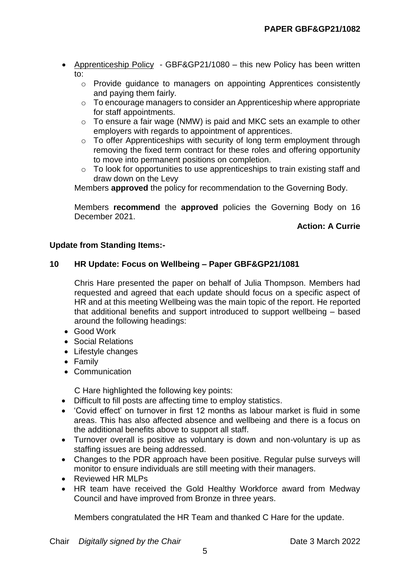- Apprenticeship Policy GBF&GP21/1080 this new Policy has been written to:
	- o Provide guidance to managers on appointing Apprentices consistently and paying them fairly.
	- o To encourage managers to consider an Apprenticeship where appropriate for staff appointments.
	- $\circ$  To ensure a fair wage (NMW) is paid and MKC sets an example to other employers with regards to appointment of apprentices.
	- o To offer Apprenticeships with security of long term employment through removing the fixed term contract for these roles and offering opportunity to move into permanent positions on completion.
	- o To look for opportunities to use apprenticeships to train existing staff and draw down on the Levy

Members **approved** the policy for recommendation to the Governing Body.

Members **recommend** the **approved** policies the Governing Body on 16 December 2021.

## **Action: A Currie**

### **Update from Standing Items:-**

## **10 HR Update: Focus on Wellbeing – Paper GBF&GP21/1081**

Chris Hare presented the paper on behalf of Julia Thompson. Members had requested and agreed that each update should focus on a specific aspect of HR and at this meeting Wellbeing was the main topic of the report. He reported that additional benefits and support introduced to support wellbeing – based around the following headings:

- Good Work
- Social Relations
- Lifestyle changes
- Family
- Communication

C Hare highlighted the following key points:

- Difficult to fill posts are affecting time to employ statistics.
- 'Covid effect' on turnover in first 12 months as labour market is fluid in some areas. This has also affected absence and wellbeing and there is a focus on the additional benefits above to support all staff.
- Turnover overall is positive as voluntary is down and non-voluntary is up as staffing issues are being addressed.
- Changes to the PDR approach have been positive. Regular pulse surveys will monitor to ensure individuals are still meeting with their managers.
- Reviewed HR MLPs
- HR team have received the Gold Healthy Workforce award from Medway Council and have improved from Bronze in three years.

Members congratulated the HR Team and thanked C Hare for the update.